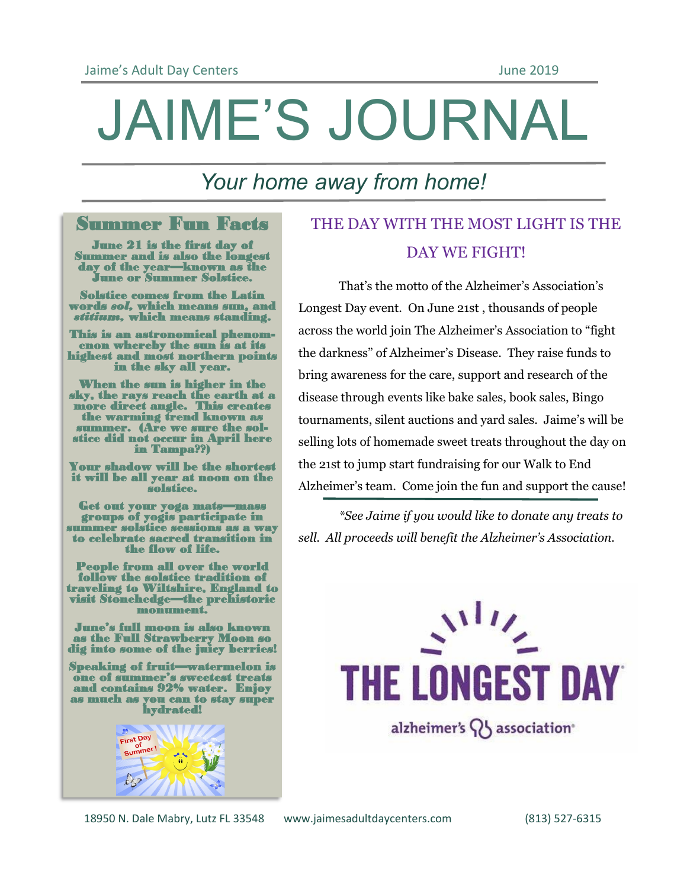# JAIME'S JOURNAL

## *Your home away from home!*

#### Summer Fun Facts

June 21 is the first day of Summer and is also the longest day of the year—known as the June or Summer Solstice.

Solstice comes from the Latin words *sol,* which means sun, and *stitium,* which means standing.

This is an astronomical phenomenon whereby the sun is at its highest and most northern points in the sky all year.

When the sun is higher in the sky, the rays reach the earth at a more direct angle. This creates the warming trend known as summer. (Are we sure the solstice did not occur in April here in Tampa??)

Your shadow will be the shortest it will be all year at noon on the solstice.

Get out your yoga mats—mass groups of yogis participate in summer solstice sessions as a way to celebrate sacred transition in the flow of life.

People from all over the world follow the solstice tradition of traveling to Wiltshire, England to visit Stonehedge—the prehistoric monument.

June's full moon is also known as the Full Strawberry Moon so dig into some of the juicy berries!

Speaking of fruit—watermelon is one of summer's sweetest treats and contains 92% water. Enjoy as much as you can to stay super hydrated!



### THE DAY WITH THE MOST LIGHT IS THE DAY WE FIGHT!

That's the motto of the Alzheimer's Association's Longest Day event. On June 21st , thousands of people across the world join The Alzheimer's Association to "fight the darkness" of Alzheimer's Disease. They raise funds to bring awareness for the care, support and research of the disease through events like bake sales, book sales, Bingo tournaments, silent auctions and yard sales. Jaime's will be selling lots of homemade sweet treats throughout the day on the 21st to jump start fundraising for our Walk to End Alzheimer's team. Come join the fun and support the cause!

*\*See Jaime if you would like to donate any treats to sell. All proceeds will benefit the Alzheimer's Association.*



18950 N. Dale Mabry, Lutz FL 33548 www.jaimesadultdaycenters.com (813) 527-6315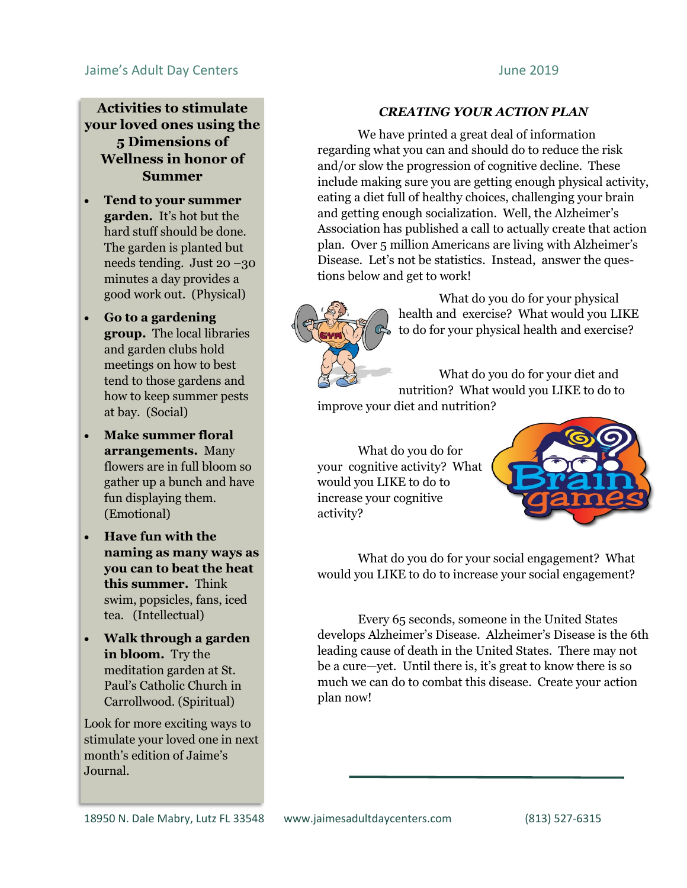#### Jaime's Adult Day Centers June 2019

**Activities to stimulate your loved ones using the 5 Dimensions of Wellness in honor of Summer**

- **Tend to your summer garden.** It's hot but the hard stuff should be done. The garden is planted but needs tending. Just 20 –30 minutes a day provides a good work out. (Physical)
- **Go to a gardening group.** The local libraries and garden clubs hold meetings on how to best tend to those gardens and how to keep summer pests at bay. (Social)
- **Make summer floral arrangements.** Many flowers are in full bloom so gather up a bunch and have fun displaying them. (Emotional)
- **Have fun with the naming as many ways as you can to beat the heat this summer.** Think swim, popsicles, fans, iced tea. (Intellectual)
- **Walk through a garden in bloom.** Try the meditation garden at St. Paul's Catholic Church in Carrollwood. (Spiritual)

Look for more exciting ways to stimulate your loved one in next month's edition of Jaime's Journal.

#### *CREATING YOUR ACTION PLAN*

We have printed a great deal of information regarding what you can and should do to reduce the risk and/or slow the progression of cognitive decline. These include making sure you are getting enough physical activity, eating a diet full of healthy choices, challenging your brain and getting enough socialization. Well, the Alzheimer's Association has published a call to actually create that action plan. Over 5 million Americans are living with Alzheimer's Disease. Let's not be statistics. Instead, answer the questions below and get to work!



What do you do for your physical health and exercise? What would you LIKE to do for your physical health and exercise?

What do you do for your diet and nutrition? What would you LIKE to do to improve your diet and nutrition?

What do you do for your cognitive activity? What would you LIKE to do to increase your cognitive activity?



What do you do for your social engagement? What would you LIKE to do to increase your social engagement?

Every 65 seconds, someone in the United States develops Alzheimer's Disease. Alzheimer's Disease is the 6th leading cause of death in the United States. There may not be a cure—yet. Until there is, it's great to know there is so much we can do to combat this disease. Create your action plan now!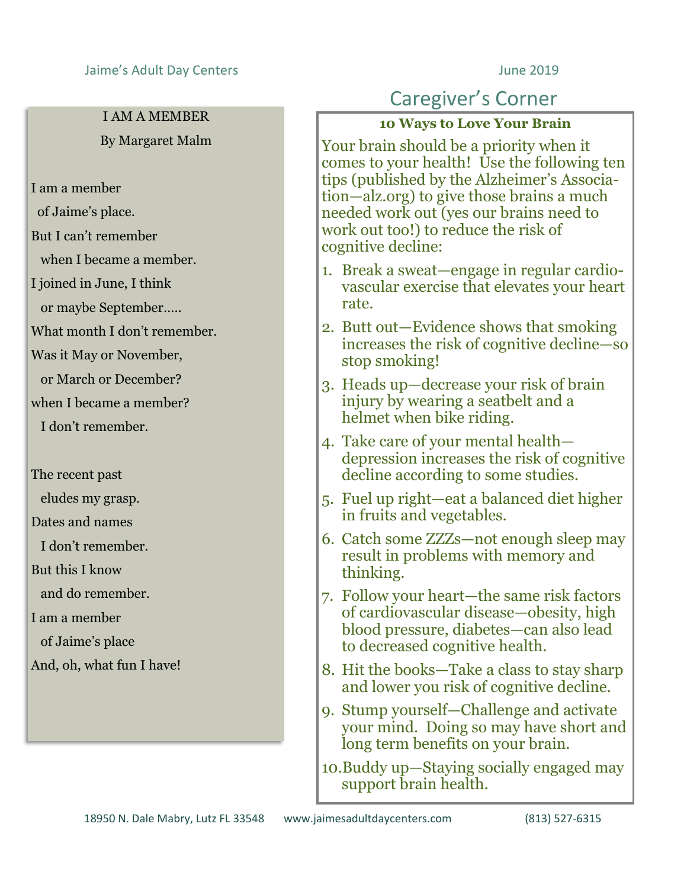#### Jaime's Adult Day Centers **June 2019**

#### I AM A MEMBER By Margaret Malm

I am a member

- of Jaime's place.
- But I can't remember

when I became a member.

I joined in June, I think

or maybe September…..

What month I don't remember.

Was it May or November,

or March or December?

when I became a member?

I don't remember.

The recent past

eludes my grasp.

Dates and names

I don't remember.

But this I know

and do remember.

I am a member

of Jaime's place

And, oh, what fun I have!

#### Caregiver's Corner

#### **10 Ways to Love Your Brain**

Your brain should be a priority when it comes to your health! Use the following ten tips (published by the Alzheimer's Association—alz.org) to give those brains a much needed work out (yes our brains need to work out too!) to reduce the risk of cognitive decline:

- 1. Break a sweat—engage in regular cardiovascular exercise that elevates your heart rate.
- 2. Butt out—Evidence shows that smoking increases the risk of cognitive decline—so stop smoking!
- 3. Heads up—decrease your risk of brain injury by wearing a seatbelt and a helmet when bike riding.
- 4. Take care of your mental health depression increases the risk of cognitive decline according to some studies.
- 5. Fuel up right—eat a balanced diet higher in fruits and vegetables.
- 6. Catch some ZZZs—not enough sleep may result in problems with memory and thinking.
- 7. Follow your heart—the same risk factors of cardiovascular disease—obesity, high blood pressure, diabetes—can also lead to decreased cognitive health.
- 8. Hit the books—Take a class to stay sharp and lower you risk of cognitive decline.
- 9. Stump yourself—Challenge and activate your mind. Doing so may have short and long term benefits on your brain.
- 10.Buddy up—Staying socially engaged may support brain health.

18950 N. Dale Mabry, Lutz FL 33548 www.jaimesadultdaycenters.com (813) 527-6315